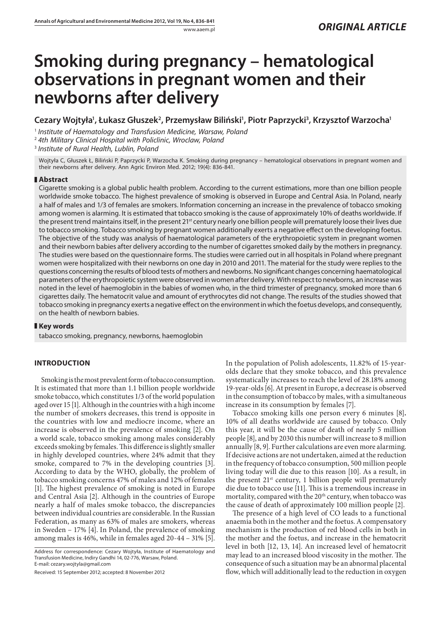# **Smoking during pregnancy – hematological observations in pregnant women and their newborns after delivery**

# **Cezary Wojtyła1 , Łukasz Głuszek2 , Przemysław Biliński1 , Piotr Paprzycki3 , Krzysztof Warzocha1**

<sup>1</sup> *Institute of Haematology and Transfusion Medicine, Warsaw, Poland*

<sup>2</sup> *4th Military Clinical Hospital with Policlinic, Wroclaw, Poland*

<sup>3</sup> *Institute of Rural Health, Lublin, Poland*

Wojtyła C, Głuszek Ł, Biliński P, Paprzycki P, Warzocha K. Smoking during pregnancy – hematological observations in pregnant women and their newborns after delivery. Ann Agric Environ Med. 2012; 19(4): 836-841.

## **Abstract**

Cigarette smoking is a global public health problem. According to the current estimations, more than one billion people worldwide smoke tobacco. The highest prevalence of smoking is observed in Europe and Central Asia. In Poland, nearly a half of males and 1/3 of females are smokers. Information concerning an increase in the prevalence of tobacco smoking among women is alarming. It is estimated that tobacco smoking is the cause of approximately 10% of deaths worldwide. If the present trend maintains itself, in the present 21<sup>st</sup> century nearly one billion people will prematurely loose their lives due to tobacco smoking. Tobacco smoking by pregnant women additionally exerts a negative effect on the developing foetus. The objective of the study was analysis of haematological parameters of the erythropoietic system in pregnant women and their newborn babies after delivery according to the number of cigarettes smoked daily by the mothers in pregnancy. The studies were based on the questionnaire forms. The studies were carried out in all hospitals in Poland where pregnant women were hospitalized with their newborns on one day in 2010 and 2011. The material for the study were replies to the questions concerning the results of blood tests of mothers and newborns. No significant changes concerning haematological parameters of the erythropoietic system were observed in women after delivery. With respect to newborns, an increase was noted in the level of haemoglobin in the babies of women who, in the third trimester of pregnancy, smoked more than 6 cigarettes daily. The hematocrit value and amount of erythrocytes did not change. The results of the studies showed that tobacco smoking in pregnancy exerts a negative effect on the environment in which the foetus develops, and consequently, on the health of newborn babies.

## **Key words**

tabacco smoking, pregnancy, newborns, haemoglobin

# **INTRODUCTION**

Smoking is the most prevalent form of tobacco consumption. It is estimated that more than 1.1 billion people worldwide smoke tobacco, which constitutes 1/3 of the world population aged over 15 [1]. Although in the countries with a high income the number of smokers decreases, this trend is opposite in the countries with low and mediocre income, where an increase is observed in the prevalence of smoking [2]. On a world scale, tobacco smoking among males considerably exceeds smoking by females. This difference is slightly smaller in highly developed countries, where 24% admit that they smoke, compared to 7% in the developing countries [3]. According to data by the WHO, globally, the problem of tobacco smoking concerns 47% of males and 12% of females [1]. The highest prevalence of smoking is noted in Europe and Central Asia [2]. Although in the countries of Europe nearly a half of males smoke tobacco, the discrepancies between individual countries are considerable. In the Russian Federation, as many as 63% of males are smokers, whereas in Sweden – 17% [4]. In Poland, the prevalence of smoking among males is 46%, while in females aged 20-44 – 31% [5].

Address for correspondence: Cezary Wojtyła, Institute of Haematology and Transfusion Medicine, Indiry Gandhi 14, 02-776, Warsaw, Poland. E-mail: cezary.wojtyla@gmail.com

Received: 15 September 2012; accepted: 8 November 2012

In the population of Polish adolescents, 11.82% of 15-yearolds declare that they smoke tobacco, and this prevalence systematically increases to reach the level of 28.18% among 19-year-olds [6].At present in Europe, a decrease is observed in the consumption of tobacco by males, with a simultaneous increase in its consumption by females [7].

Tobacco smoking kills one person every 6 minutes [8]**.** 10% of all deaths worldwide are caused by tobacco. Only this year, it will be the cause of death of nearly 5 million people [8], and by 2030 this number will increase to 8 million annually [8, 9]. Further calculations are even more alarming. If decisive actions are not undertaken, aimed at the reduction in the frequency of tobacco consumption, 500 million people living today will die due to this reason [10]. As a result, in the present 21<sup>st</sup> century, 1 billion people will prematurely die due to tobacco use [11]. This is a tremendous increase in mortality, compared with the 20<sup>th</sup> century, when tobacco was the cause of death of approximately 100 million people [2].

The presence of a high level of CO leads to a functional anaemia both in the mother and the foetus. A compensatory mechanism is the production of red blood cells in both in the mother and the foetus, and increase in the hematocrit level in both [12, 13, 14]. An increased level of hematocrit may lead to an increased blood viscosity in the mother. The consequence of such a situation may be an abnormal placental flow, which will additionally lead to the reduction in oxygen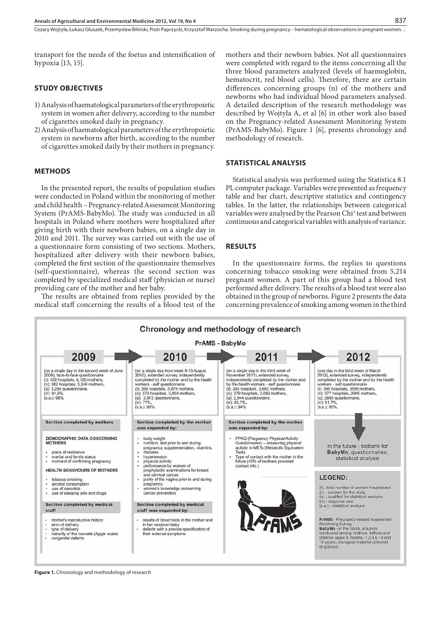Cezary Wojtyła, Łukasz Głuszek, Przemysław Biliński, Piotr Paprzycki, Krzysztof Warzocha. Smoking during pregnancy – hematological observations in pregnant women…

transport for the needs of the foetus and intensification of hypoxia [13, 15].

#### **STUDY OBJECTIVES**

- 1)Analysis of haematological parameters of the erythropoietic system in women after delivery, according to the number of cigarettes smoked daily in pregnancy.
- 2)Analysis of haematological parameters of the erythropoietic system in newborns after birth, according to the number of cigarettes smoked daily by their mothers in pregnancy.

#### **METHODS**

In the presented report, the results of population studies were conducted in Poland within the monitoring of mother and child health – Pregnancy-related Assessment Monitoring System (PrAMS-BabyMo). The study was conducted in all hospitals in Poland where mothers were hospitalized after giving birth with their newborn babies, on a single day in 2010 and 2011. The survey was carried out with the use of a questionnaire form consisting of two sections. Mothers, hospitalized after delivery with their newborn babies, completed the first section of the questionnaire themselves (self-questionnaire), whereas the second section was completed by specialized medical staff (physician or nurse) providing care of the mother and her baby.

The results are obtained from replies provided by the medical staff concerning the results of a blood test of the mothers and their newborn babies. Not all questionnaires were completed with regard to the items concerning all the three blood parameters analyzed (levels of haemoglobin, hematocrit, red blood cells). Therefore, there are certain differences concerning groups (n) of the mothers and newborns who had individual blood parameters analysed. A detailed description of the research methodology was described by Wojtyla A, et al [6] in other work also based on the Pregnancy-related Assessment Monitoring System (PrAMS-BabyMo). Figure 1 [6], presents chronology and methodology of research.

#### **STATISTICAL ANALYSIS**

Statistical analysis was performed using the Statistica 8.1 PL computer package. Variables were presented as frequency table and bar chart, descriptive statistics and contingency tables. In the latter, the relationships between categorical variables were analysed by the Pearson Chi2 test and between continuous and categorical variables with analysis of variance.

# **RESULTS**

In the questionnaire forms, the replies to questions concerning tobacco smoking were obtained from 5,214 pregnant women. A part of this group had a blood test performed after delivery. The results of a blood test were also obtained in the group of newborns. Figure 2 presents the data concerning prevalence of smoking among women in the third



**Figure 1.** Chronology and methodology of research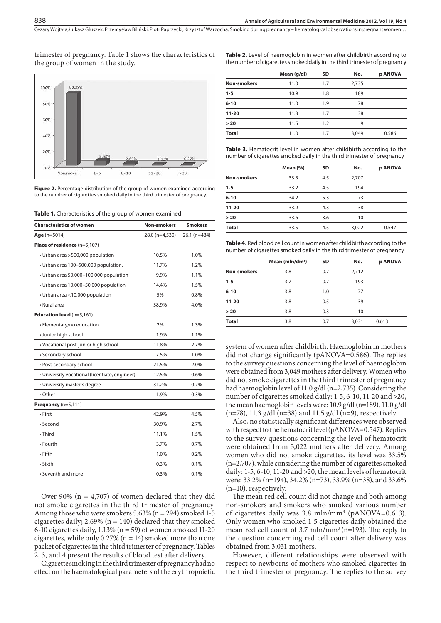trimester of pregnancy. Table 1 shows the characteristics of the group of women in the study.



Figure 2. Percentage distribution of the group of women examined according to the number of cigarettes smoked daily in the third trimester of pregnancy.

**Table 1.** Characteristics of the group of women examined.

| <b>Characteristics of women</b>                | <b>Non-smokers</b> | <b>Smokers</b> |
|------------------------------------------------|--------------------|----------------|
| $Age (n=5014)$                                 | 28.0 (n=4,530)     | 26.1 (n=484)   |
| Place of residence (n=5,107)                   |                    |                |
| · Urban area >500,000 population               | 10.5%              | 1.0%           |
| · Urban area 100-500,000 population.           | 11.7%              | 1.2%           |
| · Urban area 50,000-100,000 population         | 9.9%               | 1.1%           |
| · Urban area 10,000-50,000 population          | 14.4%              | 1.5%           |
| • Urban area <10,000 population                | 5%                 | 0.8%           |
| · Rural area                                   | 38.9%              | 4.0%           |
| Education level (n=5,161)                      |                    |                |
| • Elementary/no education                      | 2%                 | 1.3%           |
| · Junior high school                           | 1.9%               | 1.1%           |
| · Vocational post-junior high school           | 11.8%              | 2.7%           |
| • Secondary school                             | 7.5%               | 1.0%           |
| • Post-secondary school                        | 21.5%              | 2.0%           |
| • University vocational (licentiate, engineer) | 12.5%              | 0.6%           |
| • University master's degree                   | 31.2%              | 0.7%           |
| • Other                                        | 1.9%               | 0.3%           |
| Pregnancy $(n=5,111)$                          |                    |                |
| • First                                        | 42.9%              | 4.5%           |
| · Second                                       | 30.9%              | 2.7%           |
| • Third                                        | 11.1%              | 1.5%           |
| · Fourth                                       | 3.7%               | 0.7%           |
| $\cdot$ Fifth                                  | 1.0%               | 0.2%           |
| • Sixth                                        | 0.3%               | 0.1%           |
| • Seventh and more                             | 0.3%               | 0.1%           |

Over 90% ( $n = 4,707$ ) of women declared that they did not smoke cigarettes in the third trimester of pregnancy. Among those who were smokers 5.63% (n = 294) smoked 1-5 cigarettes daily;  $2.69\%$  (n = 140) declared that they smoked 6-10 cigarettes daily,  $1.13\%$  (n = 59) of women smoked 11-20 cigarettes, while only 0.27% ( $n = 14$ ) smoked more than one packet of cigarettes in the third trimester of pregnancy. Tables 2, 3, and 4 present the results of blood test after delivery.

Cigarette smoking in the third trimester of pregnancy had no effect on the haematological parameters of the erythropoietic **Table 2.** Level of haemoglobin in women after childbirth according to the number of cigarettes smoked daily in the third trimester of pregnancy

|                    | Mean (g/dl) | <b>SD</b> | No.   | p ANOVA |
|--------------------|-------------|-----------|-------|---------|
| <b>Non-smokers</b> | 11.0        | 1.7       | 2,735 |         |
| $1 - 5$            | 10.9        | 1.8       | 189   |         |
| $6 - 10$           | 11.0        | 1.9       | 78    |         |
| $11 - 20$          | 11.3        | 1.7       | 38    |         |
| > 20               | 11.5        | 1.2       | 9     |         |
| <b>Total</b>       | 11.0        | 1.7       | 3,049 | 0.586   |

**Table 3.** Hematocrit level in women after childbirth according to the number of cigarettes smoked daily in the third trimester of pregnancy

|                    | Mean $(%)$ | <b>SD</b> | No.   | p ANOVA |
|--------------------|------------|-----------|-------|---------|
| <b>Non-smokers</b> | 33.5       | 4.5       | 2,707 |         |
| $1 - 5$            | 33.2       | 4.5       | 194   |         |
| $6 - 10$           | 34.2       | 5.3       | 73    |         |
| $11 - 20$          | 33.9       | 4.3       | 38    |         |
| > 20               | 33.6       | 3.6       | 10    |         |
| <b>Total</b>       | 33.5       | 4.5       | 3,022 | 0.547   |

| Table 4. Red blood cell count in women after childbirth according to the |
|--------------------------------------------------------------------------|
| number of cigarettes smoked daily in the third trimester of pregnancy    |

|                    | Mean (mln/dm <sup>3</sup> ) | <b>SD</b> | No.   | p ANOVA |
|--------------------|-----------------------------|-----------|-------|---------|
|                    |                             |           |       |         |
| <b>Non-smokers</b> | 3.8                         | 0.7       | 2,712 |         |
| $1 - 5$            | 3.7                         | 0.7       | 193   |         |
| $6 - 10$           | 3.8                         | 1.0       | 77    |         |
| $11 - 20$          | 3.8                         | 0.5       | 39    |         |
| >20                | 3.8                         | 0.3       | 10    |         |
| <b>Total</b>       | 3.8                         | 0.7       | 3.031 | 0.613   |

system of women after childbirth. Haemoglobin in mothers did not change significantly ( $pANOVA = 0.586$ ). The replies to the survey questions concerning the level of haemoglobin were obtained from 3,049 mothers after delivery. Women who did not smoke cigarettes in the third trimester of pregnancy had haemoglobin level of 11.0 g/dl (n=2,735). Considering the number of cigarettes smoked daily: 1-5, 6-10, 11-20 and >20, the mean haemoglobin levels were: 10.9 g/dl (n=189), 11.0 g/dl (n=78), 11.3 g/dl (n=38) and 11.5 g/dl (n=9), respectively.

Also, no statistically significant differences were observed with respect to the hematocrit level (pANOVA=0.547). Replies to the survey questions concerning the level of hematocrit were obtained from 3,022 mothers after delivery. Among women who did not smoke cigarettes, its level was 33.5% (n=2,707), while considering the number of cigarettes smoked daily: 1-5, 6-10, 11-20 and >20, the mean levels of hematocrit were: 33.2% (n=194), 34.2% (n=73), 33.9% (n=38), and 33.6% (n=10), respectively.

The mean red cell count did not change and both among non-smokers and smokers who smoked various number of cigarettes daily was 3.8 mln/mm3 (pANOVA=0.613). Only women who smoked 1-5 cigarettes daily obtained the mean red cell count of 3.7 mln/mm<sup>3</sup> (n=193). The reply to the question concerning red cell count after delivery was obtained from 3,031 mothers.

However, different relationships were observed with respect to newborns of mothers who smoked cigarettes in the third trimester of pregnancy. The replies to the survey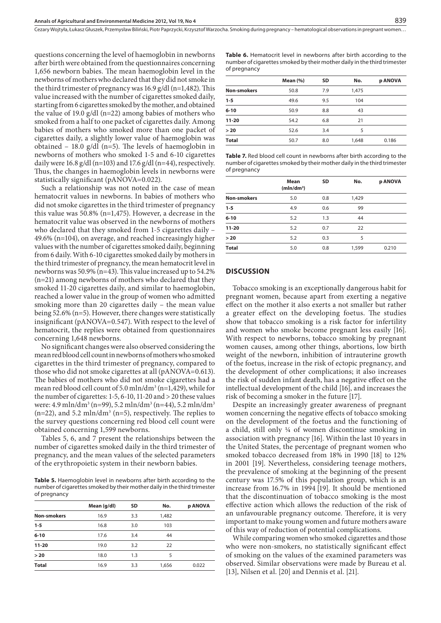Cezary Wojtyła, Łukasz Głuszek, Przemysław Biliński, Piotr Paprzycki, Krzysztof Warzocha. Smoking during pregnancy – hematological observations in pregnant women…

questions concerning the level of haemoglobin in newborns after birth were obtained from the questionnaires concerning 1,656 newborn babies. The mean haemoglobin level in the newborns of mothers who declared that they did not smoke in the third trimester of pregnancy was  $16.9$  g/dl (n=1,482). This value increased with the number of cigarettes smoked daily, starting from 6 cigarettes smoked by the mother, and obtained the value of 19.0 g/dl (n=22) among babies of mothers who smoked from a half to one packet of cigarettes daily. Among babies of mothers who smoked more than one packet of cigarettes daily, a slightly lower value of haemoglobin was obtained – 18.0 g/dl (n=5). The levels of haemoglobin in newborns of mothers who smoked 1-5 and 6-10 cigarettes daily were 16.8 g/dl (n=103) and 17.6 g/dl (n=44), respectively. Thus, the changes in haemoglobin levels in newborns were statistically significant (pANOVA=0.022).

Such a relationship was not noted in the case of mean hematocrit values in newborns. In babies of mothers who did not smoke cigarettes in the third trimester of pregnancy this value was 50.8% (n=1,475). However, a decrease in the hematocrit value was observed in the newborns of mothers who declared that they smoked from 1-5 cigarettes daily – 49.6% (n=104), on average, and reached increasingly higher values with the number of cigarettes smoked daily, beginning from 6 daily. With 6-10 cigarettes smoked daily by mothers in the third trimester of pregnancy, the mean hematocrit level in newborns was  $50.9\%$  (n=43). This value increased up to  $54.2\%$ (n=21) among newborns of mothers who declared that they smoked 11-20 cigarettes daily, and similar to haemoglobin, reached a lower value in the group of women who admitted smoking more than 20 cigarettes daily – the mean value being 52.6% (n=5). However, there changes were statistically insignificant (pANOVA=0.547). With respect to the level of hematocrit, the replies were obtained from questionnaires concerning 1,648 newborns.

No signicant changes were also observed considering the mean red blood cell count in newborns of mothers who smoked cigarettes in the third trimester of pregnancy, compared to those who did not smoke cigarettes at all (pANOVA=0.613). The babies of mothers who did not smoke cigarettes had a mean red blood cell count of 5.0 mln/dm<sup>3</sup> (n=1,429), while for the number of cigarettes: 1-5, 6-10, 11-20 and > 20 these values were: 4.9 mln/dm<sup>3</sup> (n=99), 5.2 mln/dm<sup>3</sup> (n=44), 5.2 mln/dm<sup>3</sup>  $(n=22)$ , and 5.2 mln/dm<sup>3</sup> (n=5), respectively. The replies to the survey questions concerning red blood cell count were obtained concerning 1,599 newborns.

Tables 5, 6, and 7 present the relationships between the number of cigarettes smoked daily in the third trimester of pregnancy, and the mean values of the selected parameters of the erythropoietic system in their newborn babies.

**Table 5.** Haemoglobin level in newborns after birth according to the number of cigarettes smoked by their mother daily in the third trimester of pregnancy

|                    | Mean (g/dl) | <b>SD</b> | No.   | p ANOVA |
|--------------------|-------------|-----------|-------|---------|
| <b>Non-smokers</b> | 16.9        | 3.3       | 1,482 |         |
| $1 - 5$            | 16.8        | 3.0       | 103   |         |
| $6 - 10$           | 17.6        | 3.4       | 44    |         |
| $11 - 20$          | 19.0        | 3.2       | 22    |         |
| >20                | 18.0        | 1.3       | 5     |         |
| <b>Total</b>       | 16.9        | 3.3       | 1,656 | 0.022   |

**Table 6.** Hematocrit level in newborns after birth according to the number of cigarettes smoked by their mother daily in the third trimester of pregnancy

|                    | Mean $(\% )$ | SD  | No.   | p ANOVA |
|--------------------|--------------|-----|-------|---------|
| <b>Non-smokers</b> | 50.8         | 7.9 | 1.475 |         |
| $1 - 5$            | 49.6         | 9.5 | 104   |         |
| $6 - 10$           | 50.9         | 8.8 | 43    |         |
| $11 - 20$          | 54.2         | 6.8 | 21    |         |
| >20                | 52.6         | 3.4 | 5     |         |
| <b>Total</b>       | 50.7         | 8.0 | 1.648 | 0.186   |

**Table 7.** Red blood cell count in newborns after birth according to the number of cigarettes smoked by their mother daily in the third trimester of pregnancy

|                    | Mean<br>(mln/dm <sup>3</sup> ) | <b>SD</b> | No.   | p ANOVA |  |  |
|--------------------|--------------------------------|-----------|-------|---------|--|--|
| <b>Non-smokers</b> | 5.0                            | 0.8       | 1,429 |         |  |  |
| $1 - 5$            | 4.9                            | 0.6       | 99    |         |  |  |
| $6 - 10$           | 5.2                            | 1.3       | 44    |         |  |  |
| $11 - 20$          | 5.2                            | 0.7       | 22    |         |  |  |
| >20                | 5.2                            | 0.3       | 5     |         |  |  |
| <b>Total</b>       | 5.0                            | 0.8       | 1,599 | 0.210   |  |  |

#### **DISCUSSION**

Tobacco smoking is an exceptionally dangerous habit for pregnant women, because apart from exerting a negative effect on the mother it also exerts a not smaller but rather a greater effect on the developing foetus. The studies show that tobacco smoking is a risk factor for infertility and women who smoke become pregnant less easily [16]. With respect to newborns, tobacco smoking by pregnant women causes, among other things, abortions, low birth weight of the newborn, inhibition of intrauterine growth of the foetus, increase in the risk of ectopic pregnancy, and the development of other complications; it also increases the risk of sudden infant death, has a negative effect on the intellectual development of the child [16], and increases the risk of becoming a smoker in the future [17].

Despite an increasingly greater awareness of pregnant women concerning the negative effects of tobacco smoking on the development of the foetus and the functioning of a child, still only ¼ of women discontinue smoking in association with pregnancy [16]. Within the last 10 years in the United States, the percentage of pregnant women who smoked tobacco decreased from 18% in 1990 [18] to 12% in 2001 [19]. Nevertheless, considering teenage mothers, the prevalence of smoking at the beginning of the present century was 17.5% of this population group, which is an increase from 16.7% in 1994 [19]. It should be mentioned that the discontinuation of tobacco smoking is the most effective action which allows the reduction of the risk of an unfavourable pregnancy outcome. Therefore, it is very important to make young women and future mothers aware of this way of reduction of potential complications.

While comparing women who smoked cigarettes and those who were non-smokers, no statistically significant effect of smoking on the values of the examined parameters was observed. Similar observations were made by Bureau et al. [13], Nilsen et al. [20] and Dennis et al. [21].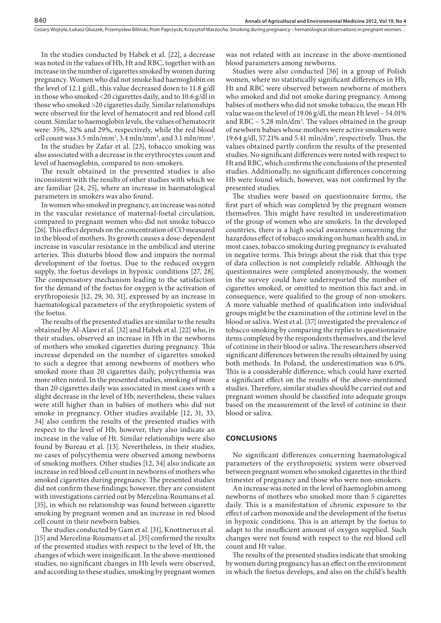In the studies conducted by Habek et al. [22], a decrease was noted in the values of Hb, Ht and RBC, together with an increase in the number of cigarettes smoked by women during pregnancy. Women who did not smoke had haemoglobin on the level of 12.1 g/dl., this value decreased down to 11.8 g/dl in those who smoked <20 cigarettes daily, and to 10.6 g/dl in those who smoked >20 cigarettes daily. Similar relationships were observed for the level of hematocrit and red blood cell count. Similar to haemoglobin levels, the values of hematocrit were: 35%, 32% and 29%, respectively, while the red blood cell count was  $3.5 \text{ min/mm}^3$ ,  $3.4 \text{ min/mm}^3$ , and  $3.1 \text{ min/mm}^3$ .

In the studies by Zafar et al. [23], tobacco smoking was also associated with a decrease in the erythrocytes count and level of haemoglobin, compared to non-smokers.

The result obtained in the presented studies is also inconsistent with the results of other studies with which we are familiar [24, 25], where an increase in haematological parameters in smokers was also found.

In women who smoked in pregnancy, an increase was noted in the vascular resistance of maternal-foetal circulation, compared to pregnant women who did not smoke tobacco [26]. This effect depends on the concentration of CO measured in the blood of mothers. Its growth causes a dose-dependent increase in vascular resistance in the umbilical and uterine arteries. This disturbs blood flow and impairs the normal development of the foetus. Due to the reduced oxygen supply, the foetus develops in hypoxic conditions [27, 28]. The compensatory mechanism leading to the satisfaction for the demand of the foetus for oxygen is the activation of erythropoiesis [12, 29, 30, 31], expressed by an increase in haematological parameters of the erythropoietic system of the foetus.

The results of the presented studies are similar to the results obtained by Al-Alawi et al. [32] and Habek et al. [22] who, in their studies, observed an increase in Hb in the newborns of mothers who smoked cigarettes during pregnancy. This increase depended on the number of cigarettes smoked to such a degree that among newborns of mothers who smoked more than 20 cigarettes daily, polycythemia was more often noted. In the presented studies, smoking of more than 20 cigarettes daily was associated in most cases with a slight decrease in the level of Hb; nevertheless, these values were still higher than in babies of mothers who did not smoke in pregnancy. Other studies available [12, 31, 33, 34] also confirm the results of the presented studies with respect to the level of Hb; however, they also indicate an increase in the value of Ht. Similar relationships were also found by Bureau et al. [13]. Nevertheless, in their studies, no cases of polycythemia were observed among newborns of smoking mothers. Other studies [12, 34] also indicate an increase in red blood cell count in newborns of mothers who smoked cigarettes during pregnancy. The presented studies did not confirm these findings; however, they are consistent with investigations carried out by Mercelina-Roumans et al. [35], in which no relationship was found between cigarette smoking by pregnant women and an increase in red blood cell count in their newborn babies.

The studies conducted by Gam et al. [31], Knottnerus et al. [15] and Mercelina-Roumans et al. [35] confirmed the results of the presented studies with respect to the level of Ht, the changes of which were insignicant. In the above-mentioned studies, no significant changes in Hb levels were observed, and according to these studies, smoking by pregnant women

was not related with an increase in the above-mentioned blood parameters among newborns.

Studies were also conducted [36] in a group of Polish women, where no statistically significant differences in Hb, Ht and RBC were observed between newborns of mothers who smoked and did not smoke during pregnancy. Among babies of mothers who did not smoke tobacco, the mean Hb value was on the level of 19.06 g/dl, the mean Ht level – 54.01% and  $RBC - 5.28$  mln/dm<sup>3</sup>. The values obtained in the group of newborn babies whose mothers were active smokers were 19.64 g/dl, 57.21% and 5.41 mln/dm<sup>3</sup>, respectively. Thus, the values obtained partly confirm the results of the presented studies. No significant differences were noted with respect to Ht and RBC, which confirms the conclusions of the presented studies. Additionally, no significant differences concerning Hb were found which, however, was not confirmed by the presented studies.

The studies were based on questionnaire forms, the first part of which was completed by the pregnant women themselves. This might have resulted in underestimation of the group of women who are smokers. In the developed countries, there is a high social awareness concerning the hazardous effect of tobacco smoking on human health and, in most cases, tobacco smoking during pregnancy is evaluated in negative terms. This brings about the risk that this type of data collection is not completely reliable. Although the questionnaires were completed anonymously, the women in the survey could have underreported the number of cigarettes smoked, or omitted to mention this fact and, in consequence, were qualified to the group of non-smokers. A more valuable method of qualification into individual groups might be the examination of the cotinine level in the blood or saliva. West et al. [37] investigated the prevalence of tobacco smoking by comparing the replies to questionnaire items completed by the respondents themselves, and the level of cotinine in their blood or saliva. The researchers observed significant differences between the results obtained by using both methods. In Poland, the underestimation was 6.0%. This is a considerable difference, which could have exerted a significant effect on the results of the above-mentioned studies. Therefore, similar studies should be carried out and pregnant women should be classified into adequate groups based on the measurement of the level of cotinine in their blood or saliva.

#### **CONCLUSIONS**

No significant differences concerning haematological parameters of the erythropoietic system were observed between pregnant women who smoked cigarettes in the third trimester of pregnancy and those who were non-smokers.

An increase was noted in the level of haemoglobin among newborns of mothers who smoked more than 5 cigarettes daily. This is a manifestation of chronic exposure to the effect of carbon monoxide and the development of the foetus in hypoxic conditions. This is an attempt by the foetus to adapt to the insufficient amount of oxygen supplied. Such changes were not found with respect to the red blood cell count and Ht value.

The results of the presented studies indicate that smoking by women during pregnancy has an effect on the environment in which the foetus develops, and also on the child's health